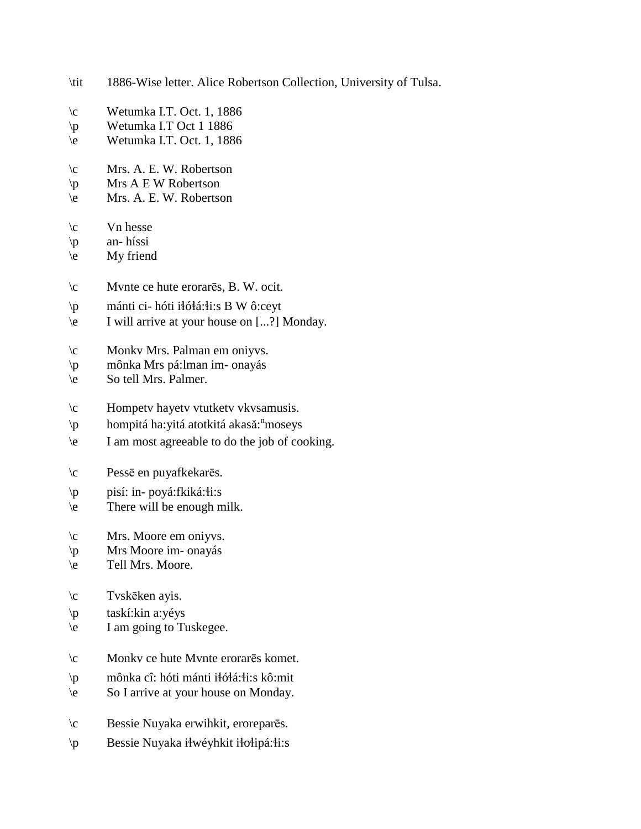| \tit           | 1886-Wise letter. Alice Robertson Collection, University of Tulsa. |
|----------------|--------------------------------------------------------------------|
| $\setminus c$  | Wetumka I.T. Oct. 1, 1886                                          |
| $\mathbb{P}$   | Wetumka I.T Oct 1 1886                                             |
| $\backslash e$ | Wetumka I.T. Oct. 1, 1886                                          |
| $\setminus c$  | Mrs. A. E. W. Robertson                                            |
| $\mathbb{P}$   | Mrs A E W Robertson                                                |
| $\backslash e$ | Mrs. A. E. W. Robertson                                            |
| $\setminus c$  | Vn hesse                                                           |
| $\mathsf{p}$   | an-híssi                                                           |
| $\backslash e$ | My friend                                                          |
| $\setminus c$  | Mynte ce hute erorares, B. W. ocit.                                |
| $\mathcal{P}$  | mánti ci- hóti iłółá: fi: s B W ô: ceyt                            |
| $\backslash e$ | I will arrive at your house on [?] Monday.                         |
| $\setminus c$  | Monky Mrs. Palman em oniyys.                                       |
| $\mathbb{P}$   | mônka Mrs pá: lman im- onayás                                      |
| $\backslash e$ | So tell Mrs. Palmer.                                               |
| $\setminus c$  | Hompety hayety vtutkety vkysamusis.                                |
| $\mathbb{P}$   | hompitá ha: yitá atotkitá akasă: "moseys                           |
| $\backslash e$ | I am most agreeable to do the job of cooking.                      |
| $\setminus c$  | Pessē en puyafkekarēs.                                             |
| $\mathsf{p}$   | pisí: in- poyá:fkiká:łi:s                                          |
| $\setminus e$  | There will be enough milk.                                         |
| $\setminus c$  | Mrs. Moore em oniyys.                                              |
| $\setminus p$  | Mrs Moore im-onayás                                                |
| $\setminus e$  | Tell Mrs. Moore.                                                   |
| $\setminus c$  | Tvskēken ayis.                                                     |
| $\mathbb{P}$   | taskí:kin a:yéys                                                   |
| $\backslash e$ | I am going to Tuskegee.                                            |
| $\setminus c$  | Monky ce hute Mynte erorares komet.                                |
| $\mathcal{P}$  | mônka cî: hóti mánti iłółá:łi:s kô:mit                             |
| $\setminus e$  | So I arrive at your house on Monday.                               |
| $\setminus c$  | Bessie Nuyaka erwihkit, eroreparēs.                                |
| $\mathsf{p}$   | Bessie Nuyaka iłwéyhkit iłołipá:łi:s                               |
|                |                                                                    |